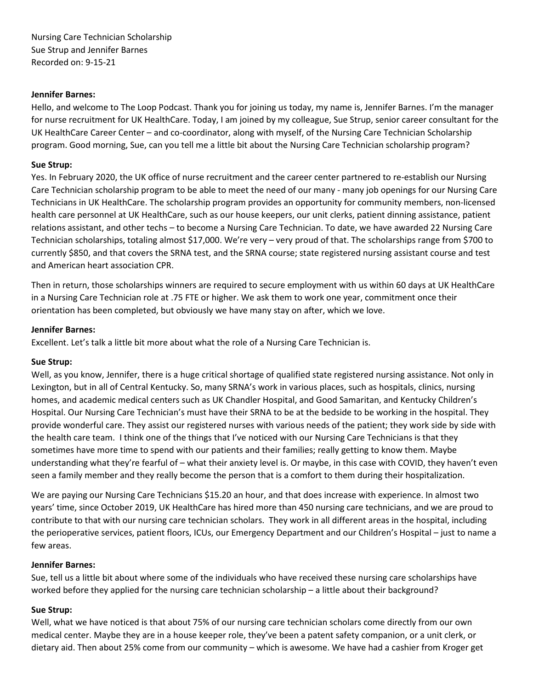Nursing Care Technician Scholarship Sue Strup and Jennifer Barnes Recorded on: 9-15-21

### **Jennifer Barnes:**

Hello, and welcome to The Loop Podcast. Thank you for joining us today, my name is, Jennifer Barnes. I'm the manager for nurse recruitment for UK HealthCare. Today, I am joined by my colleague, Sue Strup, senior career consultant for the UK HealthCare Career Center – and co-coordinator, along with myself, of the Nursing Care Technician Scholarship program. Good morning, Sue, can you tell me a little bit about the Nursing Care Technician scholarship program?

#### **Sue Strup:**

Yes. In February 2020, the UK office of nurse recruitment and the career center partnered to re-establish our Nursing Care Technician scholarship program to be able to meet the need of our many - many job openings for our Nursing Care Technicians in UK HealthCare. The scholarship program provides an opportunity for community members, non-licensed health care personnel at UK HealthCare, such as our house keepers, our unit clerks, patient dinning assistance, patient relations assistant, and other techs – to become a Nursing Care Technician. To date, we have awarded 22 Nursing Care Technician scholarships, totaling almost \$17,000. We're very – very proud of that. The scholarships range from \$700 to currently \$850, and that covers the SRNA test, and the SRNA course; state registered nursing assistant course and test and American heart association CPR.

Then in return, those scholarships winners are required to secure employment with us within 60 days at UK HealthCare in a Nursing Care Technician role at .75 FTE or higher. We ask them to work one year, commitment once their orientation has been completed, but obviously we have many stay on after, which we love.

#### **Jennifer Barnes:**

Excellent. Let's talk a little bit more about what the role of a Nursing Care Technician is.

#### **Sue Strup:**

Well, as you know, Jennifer, there is a huge critical shortage of qualified state registered nursing assistance. Not only in Lexington, but in all of Central Kentucky. So, many SRNA's work in various places, such as hospitals, clinics, nursing homes, and academic medical centers such as UK Chandler Hospital, and Good Samaritan, and Kentucky Children's Hospital. Our Nursing Care Technician's must have their SRNA to be at the bedside to be working in the hospital. They provide wonderful care. They assist our registered nurses with various needs of the patient; they work side by side with the health care team. I think one of the things that I've noticed with our Nursing Care Technicians is that they sometimes have more time to spend with our patients and their families; really getting to know them. Maybe understanding what they're fearful of – what their anxiety level is. Or maybe, in this case with COVID, they haven't even seen a family member and they really become the person that is a comfort to them during their hospitalization.

We are paying our Nursing Care Technicians \$15.20 an hour, and that does increase with experience. In almost two years' time, since October 2019, UK HealthCare has hired more than 450 nursing care technicians, and we are proud to contribute to that with our nursing care technician scholars. They work in all different areas in the hospital, including the perioperative services, patient floors, ICUs, our Emergency Department and our Children's Hospital – just to name a few areas.

### **Jennifer Barnes:**

Sue, tell us a little bit about where some of the individuals who have received these nursing care scholarships have worked before they applied for the nursing care technician scholarship – a little about their background?

### **Sue Strup:**

Well, what we have noticed is that about 75% of our nursing care technician scholars come directly from our own medical center. Maybe they are in a house keeper role, they've been a patent safety companion, or a unit clerk, or dietary aid. Then about 25% come from our community – which is awesome. We have had a cashier from Kroger get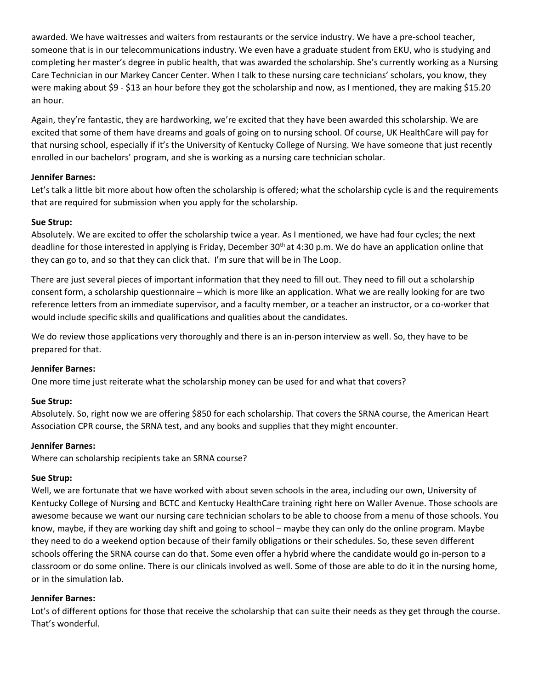awarded. We have waitresses and waiters from restaurants or the service industry. We have a pre-school teacher, someone that is in our telecommunications industry. We even have a graduate student from EKU, who is studying and completing her master's degree in public health, that was awarded the scholarship. She's currently working as a Nursing Care Technician in our Markey Cancer Center. When I talk to these nursing care technicians' scholars, you know, they were making about \$9 - \$13 an hour before they got the scholarship and now, as I mentioned, they are making \$15.20 an hour.

Again, they're fantastic, they are hardworking, we're excited that they have been awarded this scholarship. We are excited that some of them have dreams and goals of going on to nursing school. Of course, UK HealthCare will pay for that nursing school, especially if it's the University of Kentucky College of Nursing. We have someone that just recently enrolled in our bachelors' program, and she is working as a nursing care technician scholar.

### **Jennifer Barnes:**

Let's talk a little bit more about how often the scholarship is offered; what the scholarship cycle is and the requirements that are required for submission when you apply for the scholarship.

# **Sue Strup:**

Absolutely. We are excited to offer the scholarship twice a year. As I mentioned, we have had four cycles; the next deadline for those interested in applying is Friday, December 30<sup>th</sup> at 4:30 p.m. We do have an application online that they can go to, and so that they can click that. I'm sure that will be in The Loop.

There are just several pieces of important information that they need to fill out. They need to fill out a scholarship consent form, a scholarship questionnaire – which is more like an application. What we are really looking for are two reference letters from an immediate supervisor, and a faculty member, or a teacher an instructor, or a co-worker that would include specific skills and qualifications and qualities about the candidates.

We do review those applications very thoroughly and there is an in-person interview as well. So, they have to be prepared for that.

# **Jennifer Barnes:**

One more time just reiterate what the scholarship money can be used for and what that covers?

# **Sue Strup:**

Absolutely. So, right now we are offering \$850 for each scholarship. That covers the SRNA course, the American Heart Association CPR course, the SRNA test, and any books and supplies that they might encounter.

### **Jennifer Barnes:**

Where can scholarship recipients take an SRNA course?

# **Sue Strup:**

Well, we are fortunate that we have worked with about seven schools in the area, including our own, University of Kentucky College of Nursing and BCTC and Kentucky HealthCare training right here on Waller Avenue. Those schools are awesome because we want our nursing care technician scholars to be able to choose from a menu of those schools. You know, maybe, if they are working day shift and going to school – maybe they can only do the online program. Maybe they need to do a weekend option because of their family obligations or their schedules. So, these seven different schools offering the SRNA course can do that. Some even offer a hybrid where the candidate would go in-person to a classroom or do some online. There is our clinicals involved as well. Some of those are able to do it in the nursing home, or in the simulation lab.

# **Jennifer Barnes:**

Lot's of different options for those that receive the scholarship that can suite their needs as they get through the course. That's wonderful.